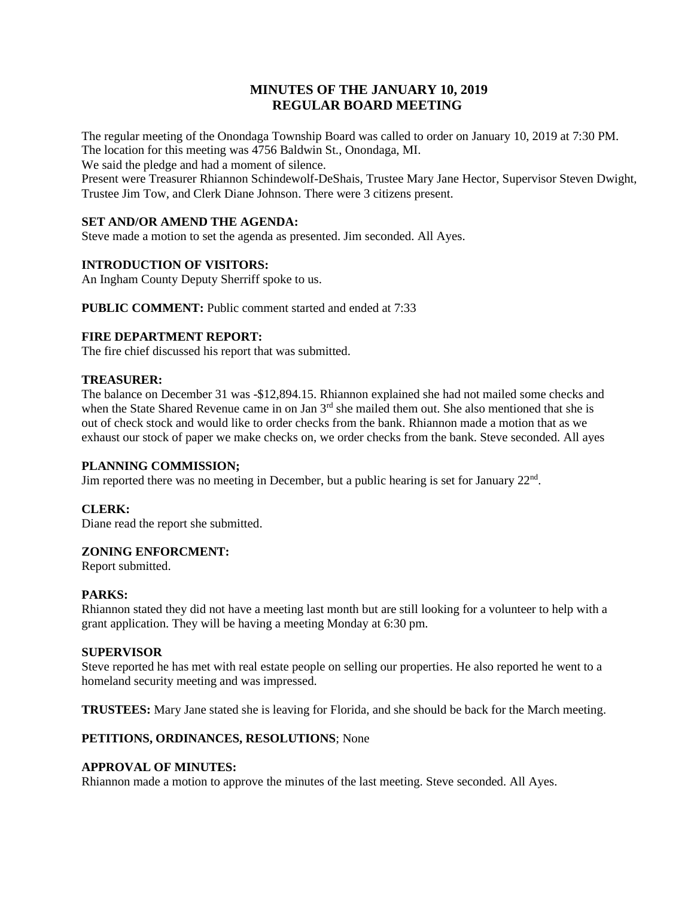# **MINUTES OF THE JANUARY 10, 2019 REGULAR BOARD MEETING**

The regular meeting of the Onondaga Township Board was called to order on January 10, 2019 at 7:30 PM. The location for this meeting was 4756 Baldwin St., Onondaga, MI.

We said the pledge and had a moment of silence.

Present were Treasurer Rhiannon Schindewolf-DeShais, Trustee Mary Jane Hector, Supervisor Steven Dwight, Trustee Jim Tow, and Clerk Diane Johnson. There were 3 citizens present.

## **SET AND/OR AMEND THE AGENDA:**

Steve made a motion to set the agenda as presented. Jim seconded. All Ayes.

### **INTRODUCTION OF VISITORS:**

An Ingham County Deputy Sherriff spoke to us.

**PUBLIC COMMENT:** Public comment started and ended at 7:33

### **FIRE DEPARTMENT REPORT:**

The fire chief discussed his report that was submitted.

### **TREASURER:**

The balance on December 31 was -\$12,894.15. Rhiannon explained she had not mailed some checks and when the State Shared Revenue came in on Jan 3<sup>rd</sup> she mailed them out. She also mentioned that she is out of check stock and would like to order checks from the bank. Rhiannon made a motion that as we exhaust our stock of paper we make checks on, we order checks from the bank. Steve seconded. All ayes

### **PLANNING COMMISSION;**

Jim reported there was no meeting in December, but a public hearing is set for January 22<sup>nd</sup>.

### **CLERK:**

Diane read the report she submitted.

## **ZONING ENFORCMENT:**

Report submitted.

### **PARKS:**

Rhiannon stated they did not have a meeting last month but are still looking for a volunteer to help with a grant application. They will be having a meeting Monday at 6:30 pm.

### **SUPERVISOR**

Steve reported he has met with real estate people on selling our properties. He also reported he went to a homeland security meeting and was impressed.

**TRUSTEES:** Mary Jane stated she is leaving for Florida, and she should be back for the March meeting.

### **PETITIONS, ORDINANCES, RESOLUTIONS**; None

### **APPROVAL OF MINUTES:**

Rhiannon made a motion to approve the minutes of the last meeting. Steve seconded. All Ayes.